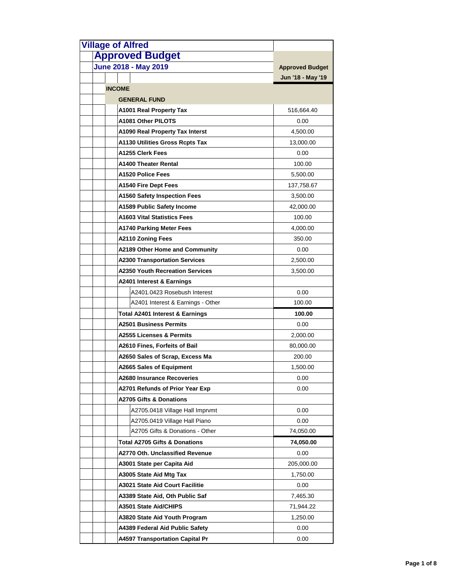| <b>Village of Alfred</b>                   |                        |
|--------------------------------------------|------------------------|
| <b>Approved Budget</b>                     |                        |
| <b>June 2018 - May 2019</b>                | <b>Approved Budget</b> |
|                                            | Jun '18 - May '19      |
| <b>INCOME</b>                              |                        |
| <b>GENERAL FUND</b>                        |                        |
| A1001 Real Property Tax                    | 516,664.40             |
| A1081 Other PILOTS                         | 0.00                   |
| A1090 Real Property Tax Interst            | 4,500.00               |
| <b>A1130 Utilities Gross Rcpts Tax</b>     | 13,000.00              |
| A1255 Clerk Fees                           | 0.00                   |
| A1400 Theater Rental                       | 100.00                 |
| A1520 Police Fees                          | 5,500.00               |
| A1540 Fire Dept Fees                       | 137,758.67             |
| <b>A1560 Safety Inspection Fees</b>        | 3,500.00               |
| A1589 Public Safety Income                 | 42,000.00              |
| <b>A1603 Vital Statistics Fees</b>         | 100.00                 |
| <b>A1740 Parking Meter Fees</b>            | 4,000.00               |
| <b>A2110 Zoning Fees</b>                   | 350.00                 |
| A2189 Other Home and Community             | 0.00                   |
| <b>A2300 Transportation Services</b>       | 2,500.00               |
| <b>A2350 Youth Recreation Services</b>     | 3,500.00               |
| A2401 Interest & Earnings                  |                        |
| A2401.0423 Rosebush Interest               | 0.00                   |
| A2401 Interest & Earnings - Other          | 100.00                 |
| <b>Total A2401 Interest &amp; Earnings</b> | 100.00                 |
| <b>A2501 Business Permits</b>              | 0.00                   |
| <b>A2555 Licenses &amp; Permits</b>        | 2,000.00               |
| A2610 Fines, Forfeits of Bail              | 80,000.00              |
| A2650 Sales of Scrap, Excess Ma            | 200.00                 |
| A2665 Sales of Equipment                   | 1,500.00               |
| A2680 Insurance Recoveries                 | 0.00                   |
| A2701 Refunds of Prior Year Exp            | 0.00                   |
| <b>A2705 Gifts &amp; Donations</b>         |                        |
| A2705.0418 Village Hall Imprvmt            | 0.00                   |
| A2705.0419 Village Hall Piano              | 0.00                   |
| A2705 Gifts & Donations - Other            | 74,050.00              |
| <b>Total A2705 Gifts &amp; Donations</b>   | 74,050.00              |
| A2770 Oth, Unclassified Revenue            | 0.00                   |
| A3001 State per Capita Aid                 | 205,000.00             |
| A3005 State Aid Mtg Tax                    | 1,750.00               |
| A3021 State Aid Court Facilitie            | 0.00                   |
| A3389 State Aid, Oth Public Saf            | 7,465.30               |
| A3501 State Aid/CHIPS                      | 71,944.22              |
| A3820 State Aid Youth Program              | 1,250.00               |
| A4389 Federal Aid Public Safety            | 0.00                   |
| <b>A4597 Transportation Capital Pr</b>     | 0.00                   |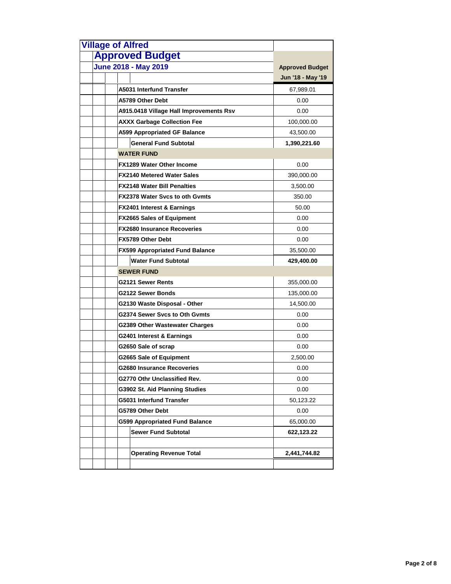| <b>Village of Alfred</b><br><b>Approved Budget</b>                  |                                             |
|---------------------------------------------------------------------|---------------------------------------------|
| <b>June 2018 - May 2019</b>                                         |                                             |
|                                                                     | <b>Approved Budget</b><br>Jun '18 - May '19 |
|                                                                     |                                             |
| A5031 Interfund Transfer                                            | 67,989.01                                   |
| A5789 Other Debt                                                    | 0.00                                        |
| A915.0418 Village Hall Improvements Rsv                             | 0.00                                        |
| <b>AXXX Garbage Collection Fee</b>                                  | 100,000.00                                  |
| <b>A599 Appropriated GF Balance</b><br><b>General Fund Subtotal</b> | 43,500.00                                   |
| <b>WATER FUND</b>                                                   | 1,390,221.60                                |
|                                                                     |                                             |
| <b>FX1289 Water Other Income</b>                                    | 0.00                                        |
| <b>FX2140 Metered Water Sales</b>                                   | 390,000.00                                  |
| <b>FX2148 Water Bill Penalties</b>                                  | 3,500.00                                    |
| <b>FX2378 Water Sycs to oth Gymts</b>                               | 350.00                                      |
| <b>FX2401 Interest &amp; Earnings</b>                               | 50.00                                       |
| <b>FX2665 Sales of Equipment</b>                                    | 0.00                                        |
| <b>FX2680 Insurance Recoveries</b>                                  | 0.00                                        |
| FX5789 Other Debt                                                   | 0.00                                        |
| <b>FX599 Appropriated Fund Balance</b>                              | 35,500.00                                   |
| <b>Water Fund Subtotal</b>                                          | 429,400.00                                  |
| <b>SEWER FUND</b>                                                   |                                             |
| G2121 Sewer Rents                                                   | 355,000.00                                  |
| G2122 Sewer Bonds                                                   | 135,000.00                                  |
| G2130 Waste Disposal - Other                                        | 14,500.00                                   |
| G2374 Sewer Svcs to Oth Gvmts                                       | 0.00                                        |
| G2389 Other Wastewater Charges                                      | 0.00                                        |
| G2401 Interest & Earnings                                           | 0.00                                        |
| G2650 Sale of scrap                                                 | 0.00                                        |
| <b>G2665 Sale of Equipment</b>                                      | 2,500.00                                    |
| G2680 Insurance Recoveries                                          | 0.00                                        |
| G2770 Othr Unclassified Rev.                                        | 0.00                                        |
| G3902 St. Aid Planning Studies                                      | 0.00                                        |
| G5031 Interfund Transfer                                            | 50,123.22                                   |
| G5789 Other Debt                                                    | 0.00                                        |
| <b>G599 Appropriated Fund Balance</b>                               | 65,000.00                                   |
| <b>Sewer Fund Subtotal</b>                                          | 622,123.22                                  |
|                                                                     |                                             |
| <b>Operating Revenue Total</b>                                      | 2,441,744.82                                |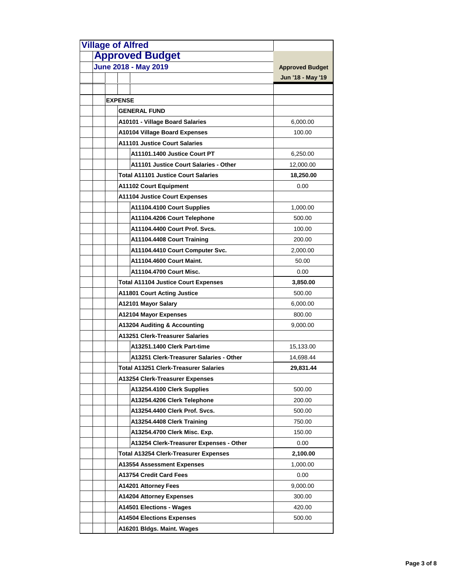| <b>Village of Alfred</b>                     |                        |
|----------------------------------------------|------------------------|
| <b>Approved Budget</b>                       |                        |
| <b>June 2018 - May 2019</b>                  | <b>Approved Budget</b> |
|                                              | Jun '18 - May '19      |
|                                              |                        |
| <b>EXPENSE</b>                               |                        |
| <b>GENERAL FUND</b>                          |                        |
| A10101 - Village Board Salaries              | 6,000.00               |
| <b>A10104 Village Board Expenses</b>         | 100.00                 |
| <b>A11101 Justice Court Salaries</b>         |                        |
| A11101.1400 Justice Court PT                 | 6,250.00               |
| A11101 Justice Court Salaries - Other        | 12,000.00              |
| <b>Total A11101 Justice Court Salaries</b>   | 18,250.00              |
| <b>A11102 Court Equipment</b>                | 0.00                   |
| <b>A11104 Justice Court Expenses</b>         |                        |
| A11104.4100 Court Supplies                   | 1,000.00               |
| A11104.4206 Court Telephone                  | 500.00                 |
| A11104.4400 Court Prof. Svcs.                | 100.00                 |
| A11104.4408 Court Training                   | 200.00                 |
| A11104.4410 Court Computer Svc.              | 2,000.00               |
| A11104.4600 Court Maint.                     | 50.00                  |
| A11104.4700 Court Misc.                      | 0.00                   |
| <b>Total A11104 Justice Court Expenses</b>   | 3,850.00               |
| <b>A11801 Court Acting Justice</b>           | 500.00                 |
| A12101 Mayor Salary                          | 6,000.00               |
| A12104 Mayor Expenses                        | 800.00                 |
| A13204 Auditing & Accounting                 | 9,000.00               |
| A13251 Clerk-Treasurer Salaries              |                        |
| A13251.1400 Clerk Part-time                  | 15,133.00              |
| A13251 Clerk-Treasurer Salaries - Other      | 14,698.44              |
| <b>Total A13251 Clerk-Treasurer Salaries</b> | 29,831.44              |
| A13254 Clerk-Treasurer Expenses              |                        |
| A13254.4100 Clerk Supplies                   | 500.00                 |
| A13254.4206 Clerk Telephone                  | 200.00                 |
| A13254.4400 Clerk Prof. Svcs.                | 500.00                 |
| A13254.4408 Clerk Training                   | 750.00                 |
| A13254.4700 Clerk Misc. Exp.                 | 150.00                 |
| A13254 Clerk-Treasurer Expenses - Other      | 0.00                   |
| Total A13254 Clerk-Treasurer Expenses        | 2,100.00               |
| A13554 Assessment Expenses                   | 1,000.00               |
| A13754 Credit Card Fees                      | 0.00                   |
| A14201 Attorney Fees                         | 9,000.00               |
| A14204 Attorney Expenses                     | 300.00                 |
| A14501 Elections - Wages                     | 420.00                 |
| <b>A14504 Elections Expenses</b>             | 500.00                 |
| A16201 Bldgs. Maint. Wages                   |                        |
|                                              |                        |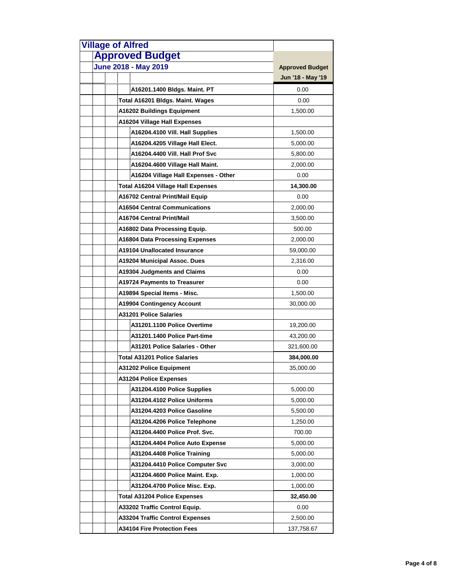| <b>Village of Alfred</b><br><b>Approved Budget</b> |                        |
|----------------------------------------------------|------------------------|
|                                                    |                        |
| <b>June 2018 - May 2019</b>                        | <b>Approved Budget</b> |
|                                                    | Jun '18 - May '19      |
| A16201.1400 Bldgs. Maint. PT                       | 0.00                   |
| Total A16201 Bldgs. Maint. Wages                   | 0.00                   |
| A16202 Buildings Equipment                         | 1,500.00               |
| A16204 Village Hall Expenses                       |                        |
| A16204.4100 Vill. Hall Supplies                    | 1,500.00               |
| A16204.4205 Village Hall Elect.                    | 5,000.00               |
| A16204.4400 Vill. Hall Prof Svc                    | 5,800.00               |
| A16204.4600 Village Hall Maint.                    | 2,000.00               |
| A16204 Village Hall Expenses - Other               | 0.00                   |
| <b>Total A16204 Village Hall Expenses</b>          | 14,300.00              |
| A16702 Central Print/Mail Equip                    | 0.00                   |
| <b>A16504 Central Communications</b>               | 2,000.00               |
| A16704 Central Print/Mail                          | 3,500.00               |
| A16802 Data Processing Equip.                      | 500.00                 |
| A16804 Data Processing Expenses                    | 2,000.00               |
| <b>A19104 Unallocated Insurance</b>                | 59,000.00              |
| A19204 Municipal Assoc. Dues                       | 2,316.00               |
| A19304 Judgments and Claims                        | 0.00                   |
| A19724 Payments to Treasurer                       | 0.00                   |
| A19894 Special Items - Misc.                       | 1,500.00               |
| A19904 Contingency Account                         | 30,000.00              |
| <b>A31201 Police Salaries</b>                      |                        |
| A31201.1100 Police Overtime                        | 19,200.00              |
| A31201.1400 Police Part-time                       | 43,200.00              |
| A31201 Police Salaries - Other                     | 321,600.00             |
| Total A31201 Police Salaries                       | 384,000.00             |
| A31202 Police Equipment                            | 35,000.00              |
| <b>A31204 Police Expenses</b>                      |                        |
| A31204.4100 Police Supplies                        | 5,000.00               |
| A31204.4102 Police Uniforms                        | 5,000.00               |
| A31204.4203 Police Gasoline                        | 5,500.00               |
| A31204.4206 Police Telephone                       | 1,250.00               |
| A31204.4400 Police Prof. Svc.                      | 700.00                 |
| A31204.4404 Police Auto Expense                    | 5,000.00               |
| A31204.4408 Police Training                        | 5,000.00               |
| A31204.4410 Police Computer Svc                    | 3,000.00               |
| A31204.4600 Police Maint. Exp.                     | 1,000.00               |
| A31204.4700 Police Misc. Exp.                      | 1,000.00               |
| <b>Total A31204 Police Expenses</b>                | 32,450.00              |
| A33202 Traffic Control Equip.                      | 0.00                   |
| <b>A33204 Traffic Control Expenses</b>             | 2,500.00               |
| <b>A34104 Fire Protection Fees</b>                 | 137,758.67             |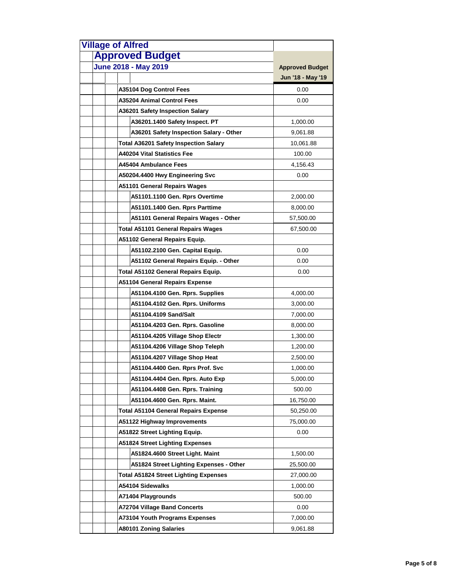| <b>Village of Alfred</b>                     |                        |
|----------------------------------------------|------------------------|
| <b>Approved Budget</b>                       |                        |
| <b>June 2018 - May 2019</b>                  | <b>Approved Budget</b> |
|                                              | Jun '18 - May '19      |
| A35104 Dog Control Fees                      | 0.00                   |
| <b>A35204 Animal Control Fees</b>            | 0.00                   |
| A36201 Safety Inspection Salary              |                        |
| A36201.1400 Safety Inspect. PT               | 1,000.00               |
| A36201 Safety Inspection Salary - Other      | 9,061.88               |
| <b>Total A36201 Safety Inspection Salary</b> | 10,061.88              |
| A40204 Vital Statistics Fee                  | 100.00                 |
| A45404 Ambulance Fees                        | 4,156.43               |
| A50204.4400 Hwy Engineering Svc              | 0.00                   |
| <b>A51101 General Repairs Wages</b>          |                        |
| A51101.1100 Gen. Rprs Overtime               | 2,000.00               |
| A51101.1400 Gen. Rprs Parttime               | 8,000.00               |
| A51101 General Repairs Wages - Other         | 57,500.00              |
| Total A51101 General Repairs Wages           | 67,500.00              |
| A51102 General Repairs Equip.                |                        |
| A51102.2100 Gen. Capital Equip.              | 0.00                   |
| A51102 General Repairs Equip. - Other        | 0.00                   |
| Total A51102 General Repairs Equip.          | 0.00                   |
| A51104 General Repairs Expense               |                        |
| A51104.4100 Gen. Rprs. Supplies              | 4,000.00               |
| A51104.4102 Gen. Rprs. Uniforms              | 3,000.00               |
| A51104.4109 Sand/Salt                        | 7,000.00               |
| A51104.4203 Gen. Rprs. Gasoline              | 8,000.00               |
| A51104.4205 Village Shop Electr              | 1,300.00               |
| A51104.4206 Village Shop Teleph              | 1,200.00               |
| A51104.4207 Village Shop Heat                | 2,500.00               |
| A51104.4400 Gen. Rprs Prof. Svc              | 1,000.00               |
| A51104.4404 Gen. Rprs. Auto Exp              | 5,000.00               |
| A51104.4408 Gen. Rprs. Training              | 500.00                 |
| A51104.4600 Gen. Rprs. Maint.                | 16,750.00              |
| Total A51104 General Repairs Expense         | 50,250.00              |
| A51122 Highway Improvements                  | 75,000.00              |
| A51822 Street Lighting Equip.                | 0.00                   |
| <b>A51824 Street Lighting Expenses</b>       |                        |
| A51824.4600 Street Light. Maint              | 1,500.00               |
| A51824 Street Lighting Expenses - Other      | 25,500.00              |
| Total A51824 Street Lighting Expenses        | 27,000.00              |
| A54104 Sidewalks                             | 1,000.00               |
| A71404 Playgrounds                           | 500.00                 |
| <b>A72704 Village Band Concerts</b>          | 0.00                   |
| A73104 Youth Programs Expenses               | 7,000.00               |
| <b>A80101 Zoning Salaries</b>                | 9,061.88               |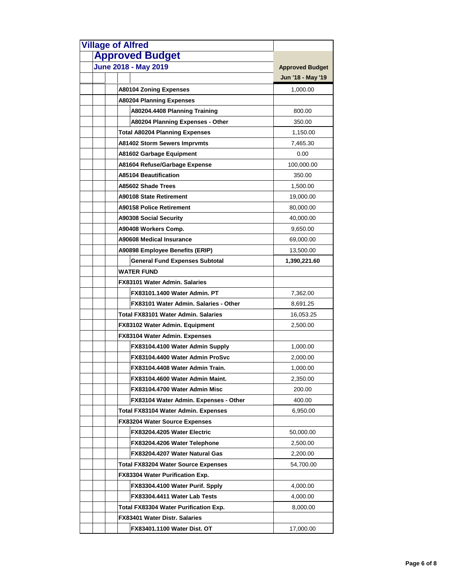| <b>Village of Alfred</b>              |                        |
|---------------------------------------|------------------------|
| <b>Approved Budget</b>                |                        |
| June 2018 - May 2019                  | <b>Approved Budget</b> |
|                                       | Jun '18 - May '19      |
| <b>A80104 Zoning Expenses</b>         | 1,000.00               |
| <b>A80204 Planning Expenses</b>       |                        |
| A80204.4408 Planning Training         | 800.00                 |
| A80204 Planning Expenses - Other      | 350.00                 |
| <b>Total A80204 Planning Expenses</b> | 1,150.00               |
| <b>A81402 Storm Sewers Imprvmts</b>   | 7,465.30               |
| A81602 Garbage Equipment              | 0.00                   |
| A81604 Refuse/Garbage Expense         | 100,000.00             |
| <b>A85104 Beautification</b>          | 350.00                 |
| A85602 Shade Trees                    | 1,500.00               |
| <b>A90108 State Retirement</b>        | 19,000.00              |
| <b>A90158 Police Retirement</b>       | 80,000.00              |
| <b>A90308 Social Security</b>         | 40,000.00              |
| A90408 Workers Comp.                  | 9,650.00               |
| A90608 Medical Insurance              | 69,000.00              |
| A90898 Employee Benefits (ERIP)       | 13,500.00              |
| <b>General Fund Expenses Subtotal</b> | 1,390,221.60           |
| <b>WATER FUND</b>                     |                        |
| <b>FX83101 Water Admin, Salaries</b>  |                        |
| FX83101.1400 Water Admin. PT          | 7,362.00               |
| FX83101 Water Admin, Salaries - Other | 8,691.25               |
| Total FX83101 Water Admin. Salaries   | 16,053.25              |
| FX83102 Water Admin. Equipment        | 2,500.00               |
| FX83104 Water Admin. Expenses         |                        |
| FX83104.4100 Water Admin Supply       | 1,000.00               |
| FX83104.4400 Water Admin ProSvc       | 2,000.00               |
| FX83104.4408 Water Admin Train        | 1,000.00               |
| FX83104.4600 Water Admin Maint.       | 2,350.00               |
| FX83104.4700 Water Admin Misc         | 200.00                 |
| FX83104 Water Admin. Expenses - Other | 400.00                 |
| Total FX83104 Water Admin. Expenses   | 6,950.00               |
| <b>FX83204 Water Source Expenses</b>  |                        |
| FX83204.4205 Water Electric           | 50,000.00              |
| FX83204.4206 Water Telephone          | 2,500.00               |
| FX83204.4207 Water Natural Gas        | 2,200.00               |
| Total FX83204 Water Source Expenses   | 54,700.00              |
| FX83304 Water Purification Exp.       |                        |
| FX83304.4100 Water Purif. Spply       | 4,000.00               |
| FX83304.4411 Water Lab Tests          | 4,000.00               |
| Total FX83304 Water Purification Exp. | 8,000.00               |
| FX83401 Water Distr. Salaries         |                        |
| FX83401.1100 Water Dist. OT           | 17,000.00              |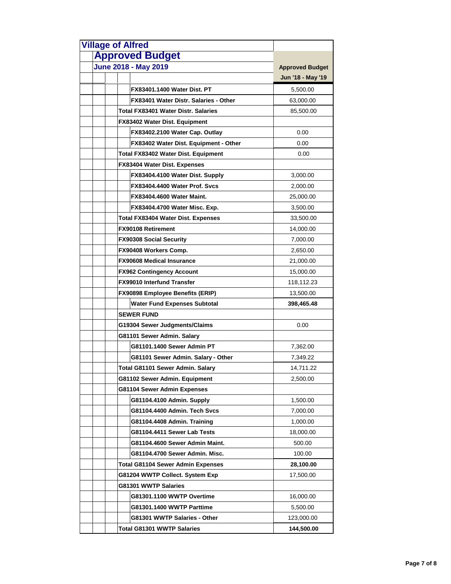| <b>Village of Alfred</b> |                                           |                        |
|--------------------------|-------------------------------------------|------------------------|
|                          | <b>Approved Budget</b>                    |                        |
|                          | <b>June 2018 - May 2019</b>               | <b>Approved Budget</b> |
|                          |                                           | Jun '18 - May '19      |
|                          | <b>FX83401.1400 Water Dist. PT</b>        | 5,500.00               |
|                          | FX83401 Water Distr. Salaries - Other     | 63,000.00              |
|                          | Total FX83401 Water Distr. Salaries       | 85,500.00              |
|                          | <b>FX83402 Water Dist. Equipment</b>      |                        |
|                          | FX83402.2100 Water Cap. Outlay            | 0.00                   |
|                          | FX83402 Water Dist. Equipment - Other     | 0.00                   |
|                          | Total FX83402 Water Dist. Equipment       | 0.00                   |
|                          | FX83404 Water Dist. Expenses              |                        |
|                          | FX83404.4100 Water Dist. Supply           | 3,000.00               |
|                          | FX83404.4400 Water Prof. Svcs             | 2,000.00               |
|                          | <b>FX83404.4600 Water Maint.</b>          | 25,000.00              |
|                          | FX83404.4700 Water Misc. Exp.             | 3,500.00               |
|                          | <b>Total FX83404 Water Dist. Expenses</b> | 33,500.00              |
|                          | FX90108 Retirement                        | 14,000.00              |
|                          | <b>FX90308 Social Security</b>            | 7,000.00               |
|                          | FX90408 Workers Comp.                     | 2,650.00               |
|                          | <b>FX90608 Medical Insurance</b>          | 21,000.00              |
|                          | <b>FX962 Contingency Account</b>          | 15,000.00              |
|                          | <b>FX99010 Interfund Transfer</b>         | 118,112.23             |
|                          | FX90898 Employee Benefits (ERIP)          | 13,500.00              |
|                          | <b>Water Fund Expenses Subtotal</b>       | 398,465.48             |
|                          | <b>SEWER FUND</b>                         |                        |
|                          | G19304 Sewer Judgments/Claims             | 0.00                   |
|                          | G81101 Sewer Admin. Salary                |                        |
|                          | G81101.1400 Sewer Admin PT                | 7,362.00               |
|                          | G81101 Sewer Admin. Salary - Other        | 7,349.22               |
|                          | Total G81101 Sewer Admin. Salary          | 14,711.22              |
|                          | G81102 Sewer Admin. Equipment             | 2,500.00               |
|                          | G81104 Sewer Admin Expenses               |                        |
|                          | G81104.4100 Admin. Supply                 | 1,500.00               |
|                          | G81104.4400 Admin. Tech Svcs              | 7,000.00               |
|                          | G81104.4408 Admin. Training               | 1,000.00               |
|                          | G81104.4411 Sewer Lab Tests               | 18,000.00              |
|                          | G81104.4600 Sewer Admin Maint.            | 500.00                 |
|                          | G81104.4700 Sewer Admin. Misc.            | 100.00                 |
|                          | Total G81104 Sewer Admin Expenses         | 28,100.00              |
|                          | G81204 WWTP Collect. System Exp           | 17,500.00              |
|                          | G81301 WWTP Salaries                      |                        |
|                          | G81301.1100 WWTP Overtime                 | 16,000.00              |
|                          | G81301.1400 WWTP Parttime                 | 5,500.00               |
|                          | G81301 WWTP Salaries - Other              | 123,000.00             |
|                          | <b>Total G81301 WWTP Salaries</b>         | 144,500.00             |